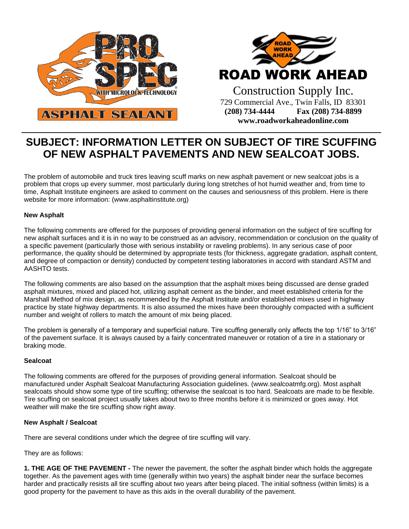



Construction Supply Inc. 729 Commercial Ave., Twin Falls, ID 83301 **(208) 734-4444 Fax (208) 734-8899 www.roadworkaheadonline.com**

## **SUBJECT: INFORMATION LETTER ON SUBJECT OF TIRE SCUFFING OF NEW ASPHALT PAVEMENTS AND NEW SEALCOAT JOBS.**

The problem of automobile and truck tires leaving scuff marks on new asphalt pavement or new sealcoat jobs is a problem that crops up every summer, most particularly during long stretches of hot humid weather and, from time to time, Asphalt Institute engineers are asked to comment on the causes and seriousness of this problem. Here is there website for more information: (www.asphaltinstitute.org)

## **New Asphalt**

The following comments are offered for the purposes of providing general information on the subject of tire scuffing for new asphalt surfaces and it is in no way to be construed as an advisory, recommendation or conclusion on the quality of a specific pavement (particularly those with serious instability or raveling problems). In any serious case of poor performance, the quality should be determined by appropriate tests (for thickness, aggregate gradation, asphalt content, and degree of compaction or density) conducted by competent testing laboratories in accord with standard ASTM and AASHTO tests.

The following comments are also based on the assumption that the asphalt mixes being discussed are dense graded asphalt mixtures, mixed and placed hot, utilizing asphalt cement as the binder, and meet established criteria for the Marshall Method of mix design, as recommended by the Asphalt Institute and/or established mixes used in highway practice by state highway departments. It is also assumed the mixes have been thoroughly compacted with a sufficient number and weight of rollers to match the amount of mix being placed.

The problem is generally of a temporary and superficial nature. Tire scuffing generally only affects the top 1/16" to 3/16" of the pavement surface. It is always caused by a fairly concentrated maneuver or rotation of a tire in a stationary or braking mode.

## **Sealcoat**

The following comments are offered for the purposes of providing general information. Sealcoat should be manufactured under Asphalt Sealcoat Manufacturing Association guidelines. (www.sealcoatmfg.org). Most asphalt sealcoats should show some type of tire scuffing; otherwise the sealcoat is too hard. Sealcoats are made to be flexible. Tire scuffing on sealcoat project usually takes about two to three months before it is minimized or goes away. Hot weather will make the tire scuffing show right away.

## **New Asphalt / Sealcoat**

There are several conditions under which the degree of tire scuffing will vary.

They are as follows:

**1. THE AGE OF THE PAVEMENT -** The newer the pavement, the softer the asphalt binder which holds the aggregate together. As the pavement ages with time (generally within two years) the asphalt binder near the surface becomes harder and practically resists all tire scuffing about two years after being placed. The initial softness (within limits) is a good property for the pavement to have as this aids in the overall durability of the pavement.